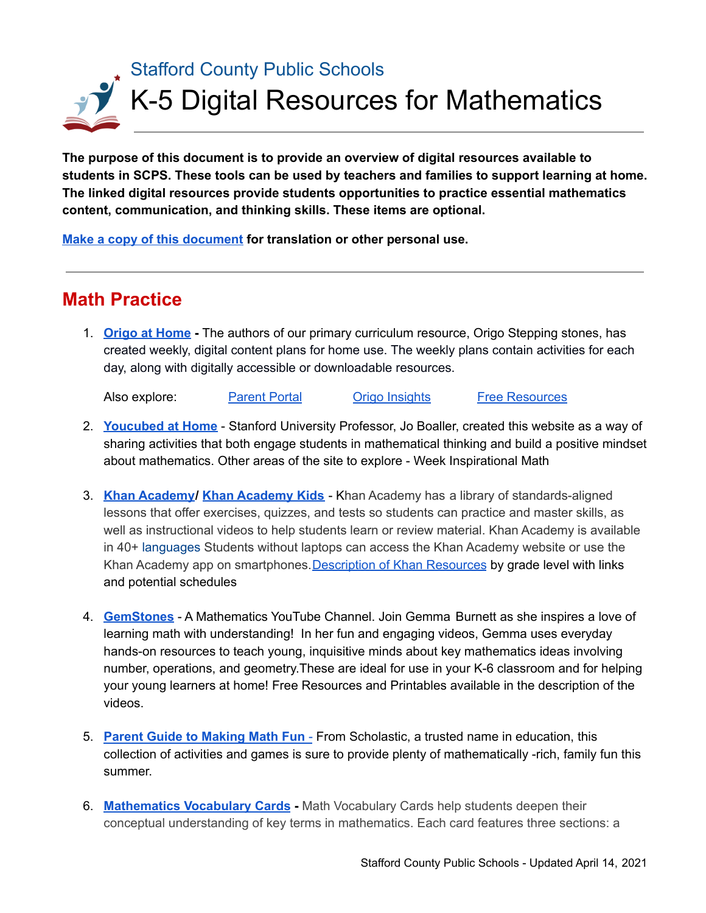# Stafford County Public Schools K-5 Digital Resources for Mathematics

**The purpose of this document is to provide an overview of digital resources available to students in SCPS. These tools can be used by teachers and families to support learning at home. The linked digital resources provide students opportunities to practice essential mathematics content, communication, and thinking skills. These items are optional.**

**Make a copy of this [document](https://docs.google.com/document/d/1gq-1qOGs2346cq4kIUr9rToMaeZH-XcypFvJL4BEajA/copy) for translation or other personal use.**

# **Math Practice**

1. **Origo at [Home](https://www.origoeducation.com/athome/) -** The authors of our primary curriculum resource, Origo Stepping stones, has created weekly, digital content plans for home use. The weekly plans contain activities for each day, along with digitally accessible or downloadable resources.

Also explore: [Parent](https://www.origoeducation.com/parent-portal) Portal Origo [Insights](https://www.origoeducation.com/insights/) Free [Resources](https://www.origoeducation.com/free-resources/)

- 2. **[Youcubed](https://www.youcubed.org/resource/youcubed-at-home/) at Home** Stanford University Professor, Jo Boaller, created this website as a way of sharing activities that both engage students in mathematical thinking and build a positive mindset about mathematics. Other areas of the site to explore - Week Inspirational Math
- 3. **Khan [Academy](https://www.khanacademy.org/)/ Khan [Academy](https://learn.khanacademy.org/khan-academy-kids/) Kids** Khan Academy has a library of standards-aligned lessons that offer exercises, quizzes, and tests so students can practice and master skills, as well as instructional videos to help students learn or review material. Khan Academy is available in 40+ [languages](https://khanacademy.zendesk.com/hc/articles/226457308-Is-Khan-Academy-available-in-other-languages-) Students without laptops can access the Khan Academy website or use the Khan Academy app on smartphones. [Description](https://docs.google.com/document/u/1/d/e/2PACX-1vSZhOdEPAWjUQpqDkVAlJrFwxxZ9Sa6zGOq0CNRms6Z7DZNq-tQWS3OhuVCUbh_-P-WmksHAzbsrk9d/pub?utm_email_kaid=kaid_941725876774179344071019&utm_source=Sailthru&utm_medium=email&utm_campaign=032620%20Khan%20Kids%20Parent%20Remote%20Learning%20CHF&utm_term=all%20regions-all%20users-khankids-parents&urp=gmail_link) of Khan Resources by grade level with links and potential schedules
- 4. **[GemStones](https://www.youtube.com/channel/UCrDZHFW_FxCC8HaovIqayZw)** A Mathematics YouTube Channel. Join Gemma Burnett as she inspires a love of learning math with understanding! In her fun and engaging videos, Gemma uses everyday hands-on resources to teach young, inquisitive minds about key mathematics ideas involving number, operations, and geometry.These are ideal for use in your K-6 classroom and for helping your young learners at home! Free Resources and Printables available in the description of the videos.
- 5. **Parent Guide to [Making](https://www.scholastic.com/parents/school-success/school-success-guides/parent-guide-to-making-math-fun.html) Math Fun** From Scholastic, a trusted name in education, this collection of activities and games is sure to provide plenty of mathematically -rich, family fun this summer.
- 6. **[Mathematics](https://apps.mathlearningcenter.org/math-vocabulary-cards/) Vocabulary Cards -** Math Vocabulary Cards help students deepen their conceptual understanding of key terms in mathematics. Each card features three sections: a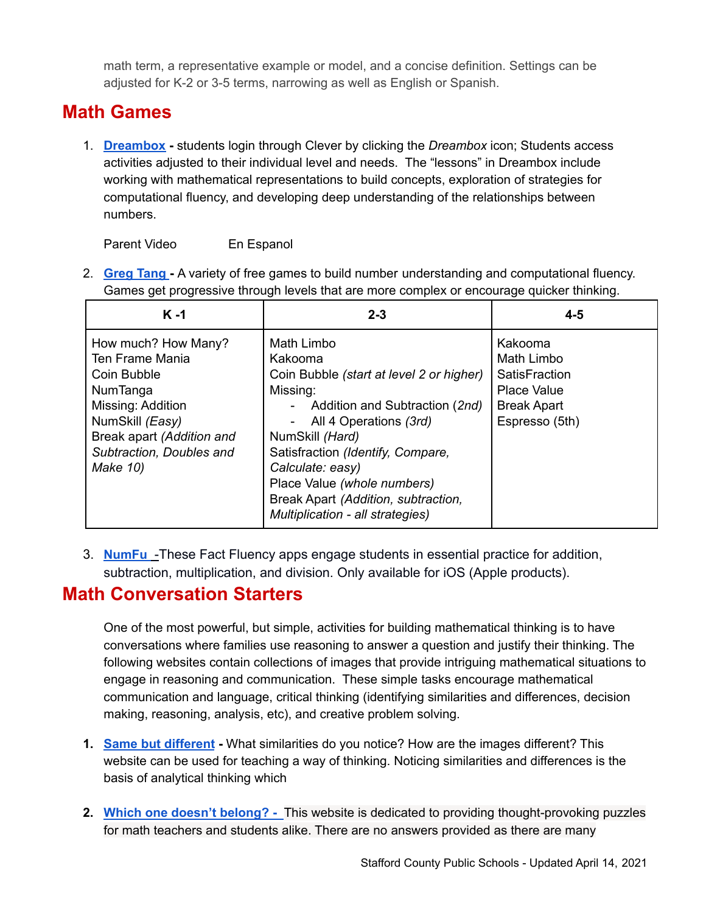math term, a representative example or model, and a concise definition. Settings can be adjusted for K-2 or 3-5 terms, narrowing as well as English or Spanish.

## **Math Games**

1. **[Dreambox](http://clever.com/stafford) -** students login through Clever by clicking the *Dreambox* icon; Students access activities adjusted to their individual level and needs. The "lessons" in Dreambox include working with mathematical representations to build concepts, exploration of strategies for computational fluency, and developing deep understanding of the relationships between numbers.

Parent Video En Espanol

2. **[Greg](http://www.gregtangmath.com/games) Tang -** A variety of free games to build number understanding and computational fluency. Games get progressive through levels that are more complex or encourage quicker thinking.

| $K - 1$                                                                                                                                                                        | $2 - 3$                                                                                                                                                                                                                                                                                                                         | $4 - 5$                                                                                              |
|--------------------------------------------------------------------------------------------------------------------------------------------------------------------------------|---------------------------------------------------------------------------------------------------------------------------------------------------------------------------------------------------------------------------------------------------------------------------------------------------------------------------------|------------------------------------------------------------------------------------------------------|
| How much? How Many?<br>Ten Frame Mania<br>Coin Bubble<br>NumTanga<br>Missing: Addition<br>NumSkill (Easy)<br>Break apart (Addition and<br>Subtraction, Doubles and<br>Make 10) | Math Limbo<br>Kakooma<br>Coin Bubble (start at level 2 or higher)<br>Missing:<br>Addition and Subtraction (2nd)<br>All 4 Operations (3rd)<br>NumSkill (Hard)<br>Satisfraction (Identify, Compare,<br>Calculate: easy)<br>Place Value (whole numbers)<br>Break Apart (Addition, subtraction,<br>Multiplication - all strategies) | Kakooma<br>Math Limbo<br>SatisFraction<br><b>Place Value</b><br><b>Break Apart</b><br>Espresso (5th) |

3. **[NumFu](https://www.origoeducation.com/num-fu/)** -These Fact Fluency apps engage students in essential practice for addition, subtraction, multiplication, and division. Only available for iOS (Apple products).

#### **Math Conversation Starters**

One of the most powerful, but simple, activities for building mathematical thinking is to have conversations where families use reasoning to answer a question and justify their thinking. The following websites contain collections of images that provide intriguing mathematical situations to engage in reasoning and communication. These simple tasks encourage mathematical communication and language, critical thinking (identifying similarities and differences, decision making, reasoning, analysis, etc), and creative problem solving.

- **1. Same but [different](https://www.samebutdifferentmath.com/) -** What similarities do you notice? How are the images different? This website can be used for teaching a way of thinking. Noticing similarities and differences is the basis of analytical thinking which
- **2. Which one doesn't [belong?](https://wodb.ca/) -** This website is dedicated to providing thought-provoking puzzles for math teachers and students alike. There are no answers provided as there are many